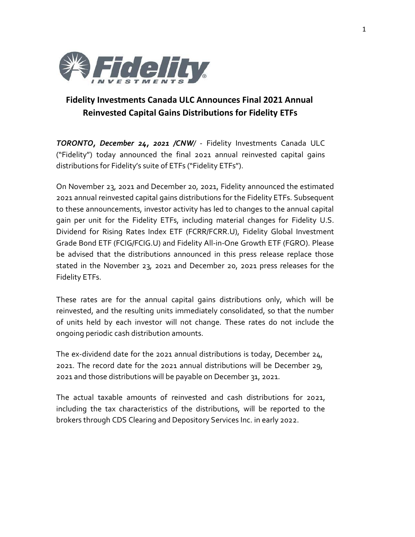

## **Fidelity Investments Canada ULC Announces Final 2021 Annual Reinvested Capital Gains Distributions for Fidelity ETFs**

*TORONTO, December 24, 2021 /CNW/* - Fidelity Investments Canada ULC ("Fidelity") today announced the final 2021 annual reinvested capital gains distributions for Fidelity's suite of ETFs ("Fidelity ETFs").

On November 23, 2021 and December 20, 2021, Fidelity announced the estimated 2021 annual reinvested capital gains distributions for the Fidelity ETFs. Subsequent to these announcements, investor activity has led to changes to the annual capital gain per unit for the Fidelity ETFs, including material changes for Fidelity U.S. Dividend for Rising Rates Index ETF (FCRR/FCRR.U), Fidelity Global Investment Grade Bond ETF (FCIG/FCIG.U) and Fidelity All-in-One Growth ETF (FGRO). Please be advised that the distributions announced in this press release replace those stated in the November 23, 2021 and December 20, 2021 press releases for the Fidelity ETFs.

These rates are for the annual capital gains distributions only, which will be reinvested, and the resulting units immediately consolidated, so that the number of units held by each investor will not change. These rates do not include the ongoing periodic cash distribution amounts.

The ex-dividend date for the 2021 annual distributions is today, December 24, 2021. The record date for the 2021 annual distributions will be December 29, 2021 and those distributions will be payable on December 31, 2021.

The actual taxable amounts of reinvested and cash distributions for 2021, including the tax characteristics of the distributions, will be reported to the brokers through CDS Clearing and Depository Services Inc. in early 2022.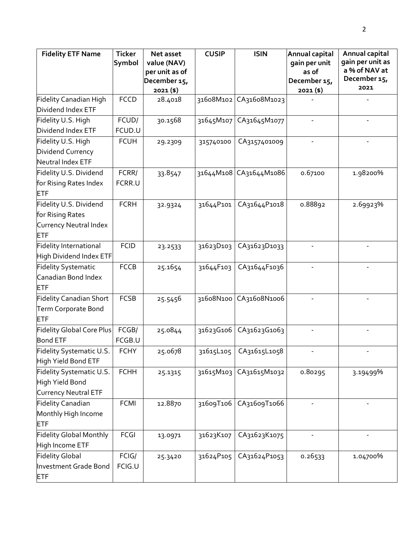| <b>Fidelity ETF Name</b>         | <b>Ticker</b> | Net asset                   | <b>CUSIP</b> | <b>ISIN</b>              | Annual capital              | Annual capital                |
|----------------------------------|---------------|-----------------------------|--------------|--------------------------|-----------------------------|-------------------------------|
|                                  | Symbol        | value (NAV)                 |              |                          | gain per unit               | gain per unit as              |
|                                  |               | per unit as of              |              |                          | as of                       | a % of NAV at<br>December 15, |
|                                  |               | December 15,<br>$2021($ \$) |              |                          | December 15,<br>$2021($ \$) | 2021                          |
| Fidelity Canadian High           | <b>FCCD</b>   | 28.4018                     | 31608M102    | CA31608M1023             |                             |                               |
| Dividend Index ETF               |               |                             |              |                          |                             |                               |
| Fidelity U.S. High               | FCUD/         | 30.1568                     | 31645M107    | CA31645M1077             |                             |                               |
| Dividend Index ETF               | FCUD.U        |                             |              |                          |                             |                               |
| Fidelity U.S. High               | <b>FCUH</b>   | 29.2309                     | 315740100    | CA3157401009             |                             |                               |
| Dividend Currency                |               |                             |              |                          |                             |                               |
| Neutral Index ETF                |               |                             |              |                          |                             |                               |
| Fidelity U.S. Dividend           | FCRR/         | 33.8547                     |              | 31644M108 CA31644M1086   | 0.67100                     | 1.98200%                      |
| for Rising Rates Index           | FCRR.U        |                             |              |                          |                             |                               |
| <b>ETF</b>                       |               |                             |              |                          |                             |                               |
| Fidelity U.S. Dividend           | <b>FCRH</b>   | 32.9324                     | 31644P101    | CA31644P1018             | 0.88892                     | 2.69923%                      |
| for Rising Rates                 |               |                             |              |                          |                             |                               |
| Currency Neutral Index           |               |                             |              |                          |                             |                               |
| <b>ETF</b>                       |               |                             |              |                          |                             |                               |
| Fidelity International           | <b>FCID</b>   | 23.2533                     | 31623D103    | CA31623D1033             |                             |                               |
| High Dividend Index ETF          |               |                             |              |                          |                             |                               |
| <b>Fidelity Systematic</b>       | <b>FCCB</b>   | 25.1654                     | 31644F103    | CA31644F1036             |                             |                               |
| Canadian Bond Index              |               |                             |              |                          |                             |                               |
| <b>ETF</b>                       |               |                             |              |                          |                             |                               |
| <b>Fidelity Canadian Short</b>   | <b>FCSB</b>   | 25.5456                     | 31608N100    | CA31608N1006             |                             |                               |
| Term Corporate Bond              |               |                             |              |                          |                             |                               |
| ETF                              |               |                             |              |                          |                             |                               |
| <b>Fidelity Global Core Plus</b> | FCGB/         | 25.0844                     | 31623G106    | CA31623G1063             |                             |                               |
| <b>Bond ETF</b>                  | FCGB.U        |                             |              |                          |                             |                               |
| Fidelity Systematic U.S.         | <b>FCHY</b>   | 25.0678                     |              | 31615L105   CA31615L1058 |                             |                               |
| High Yield Bond ETF              |               |                             |              |                          |                             |                               |
| Fidelity Systematic U.S.         | <b>FCHH</b>   | 25.1315                     | 31615M103    | CA31615M1032             | 0.80295                     | 3.19499%                      |
| High Yield Bond                  |               |                             |              |                          |                             |                               |
| Currency Neutral ETF             |               |                             |              |                          |                             |                               |
| <b>Fidelity Canadian</b>         | FCMI          | 12.8870                     | 31609T106    | CA31609T1066             |                             |                               |
| Monthly High Income              |               |                             |              |                          |                             |                               |
| ETF                              |               |                             |              |                          |                             |                               |
| <b>Fidelity Global Monthly</b>   | FCGI          | 13.0971                     | 31623K107    | CA31623K1075             |                             |                               |
| High Income ETF                  |               |                             |              |                          |                             |                               |
| <b>Fidelity Global</b>           | FCIG/         | 25.3420                     | 31624P105    | CA31624P1053             | 0.26533                     | 1.04700%                      |
| Investment Grade Bond            | FCIG.U        |                             |              |                          |                             |                               |
| <b>ETF</b>                       |               |                             |              |                          |                             |                               |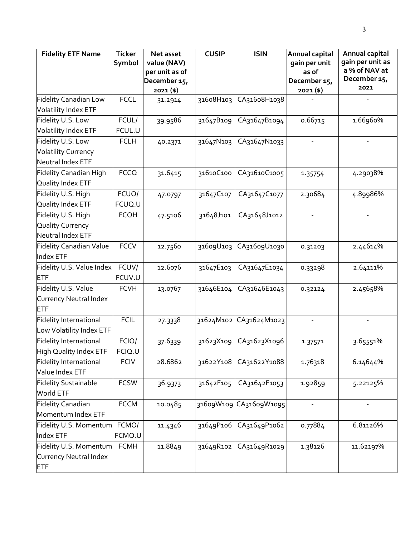| <b>Fidelity ETF Name</b>       | <b>Ticker</b> | Net asset      | <b>CUSIP</b> | <b>ISIN</b>            | Annual capital | Annual capital                |
|--------------------------------|---------------|----------------|--------------|------------------------|----------------|-------------------------------|
|                                | Symbol        | value (NAV)    |              |                        | gain per unit  | gain per unit as              |
|                                |               | per unit as of |              |                        | as of          | a % of NAV at<br>December 15, |
|                                |               | December 15,   |              |                        | December 15,   | 2021                          |
| <b>Fidelity Canadian Low</b>   | <b>FCCL</b>   | $2021($ \$)    | 31608H103    | CA31608H1038           | $2021($ \$)    |                               |
| <b>Volatility Index ETF</b>    |               | 31.2914        |              |                        |                |                               |
| Fidelity U.S. Low              | FCUL/         |                |              | CA31647B1094           |                |                               |
|                                |               | 39.9586        | 31647B109    |                        | 0.66715        | 1.66960%                      |
| Volatility Index ETF           | FCUL.U        |                |              |                        |                |                               |
| Fidelity U.S. Low              | <b>FCLH</b>   | 40.2371        | 31647N103    | CA31647N1033           |                |                               |
| <b>Volatility Currency</b>     |               |                |              |                        |                |                               |
| Neutral Index ETF              |               |                |              |                        |                |                               |
| Fidelity Canadian High         | <b>FCCQ</b>   | 31.6415        | 31610C100    | CA31610C1005           | 1.35754        | 4.29038%                      |
| Quality Index ETF              |               |                |              |                        |                |                               |
| Fidelity U.S. High             | FCUQ/         | 47.0797        | 31647C107    | CA31647C1077           | 2.30684        | 4.89986%                      |
| Quality Index ETF              | FCUQ.U        |                |              |                        |                |                               |
| Fidelity U.S. High             | <b>FCQH</b>   | 47.5106        | 31648J101    | CA31648J1012           |                |                               |
| Quality Currency               |               |                |              |                        |                |                               |
| Neutral Index ETF              |               |                |              |                        |                |                               |
| <b>Fidelity Canadian Value</b> | <b>FCCV</b>   | 12.7560        | 31609U103    | CA31609U1030           | 0.31203        | 2.44614%                      |
| Index ETF                      |               |                |              |                        |                |                               |
| Fidelity U.S. Value Index      | FCUV/         | 12.6076        | 31647E103    | CA31647E1034           | 0.33298        | 2.64111%                      |
| ETF                            | FCUV.U        |                |              |                        |                |                               |
| Fidelity U.S. Value            | <b>FCVH</b>   | 13.0767        | 31646E104    | CA31646E1043           | 0.32124        | 2.45658%                      |
| Currency Neutral Index         |               |                |              |                        |                |                               |
| ETF                            |               |                |              |                        |                |                               |
| <b>Fidelity International</b>  | <b>FCIL</b>   | 27.3338        | 31624M102    | CA31624M1023           |                |                               |
| Low Volatility Index ETF       |               |                |              |                        |                |                               |
| Fidelity International         | FCIQ/         | 37.6339        | 31623X109    | CA31623X1096           | 1.37571        | 3.65551%                      |
| High Quality Index ETF         | FCIQ.U        |                |              |                        |                |                               |
| Fidelity International         | <b>FCIV</b>   | 28.6862        | 31622Y108    | CA31622Y1088           | 1.76318        | 6.14644%                      |
| Value Index ETF                |               |                |              |                        |                |                               |
| <b>Fidelity Sustainable</b>    | <b>FCSW</b>   | 36.9373        | 31642F105    | CA31642F1053           | 1.92859        | 5.22125%                      |
| World ETF                      |               |                |              |                        |                |                               |
| <b>Fidelity Canadian</b>       | <b>FCCM</b>   | 10.0485        |              | 31609W109 CA31609W1095 |                |                               |
| Momentum Index ETF             |               |                |              |                        |                |                               |
| Fidelity U.S. Momentum         | FCMO/         | 11.4346        | 31649P106    | CA31649P1062           | 0.77884        | 6.81126%                      |
| Index ETF                      | FCMO.U        |                |              |                        |                |                               |
| Fidelity U.S. Momentum         | <b>FCMH</b>   | 11.8849        | 31649R102    | CA31649R1029           | 1.38126        | 11.62197%                     |
| Currency Neutral Index         |               |                |              |                        |                |                               |
| <b>ETF</b>                     |               |                |              |                        |                |                               |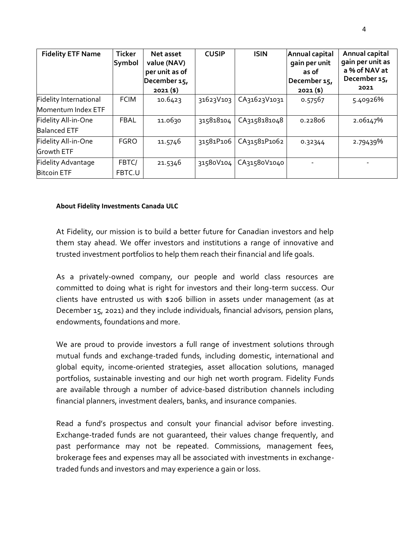| <b>Fidelity ETF Name</b> | <b>Ticker</b><br>Symbol | Net asset<br>value (NAV)<br>per unit as of<br>December 15,<br>$2021($ \$) | <b>CUSIP</b> | <b>ISIN</b>  | Annual capital<br>gain per unit<br>as of<br>December 15,<br>$2021($ \$) | Annual capital<br>gain per unit as<br>a % of NAV at<br>December 15,<br>2021 |
|--------------------------|-------------------------|---------------------------------------------------------------------------|--------------|--------------|-------------------------------------------------------------------------|-----------------------------------------------------------------------------|
| Fidelity International   | <b>FCIM</b>             | 10.6423                                                                   | 31623V103    | CA31623V1031 | 0.57567                                                                 | 5.40926%                                                                    |
| Momentum Index ETF       |                         |                                                                           |              |              |                                                                         |                                                                             |
| Fidelity All-in-One      | <b>FBAL</b>             | 11.0630                                                                   | 315818104    | CA3158181048 | 0.22806                                                                 | 2.06147%                                                                    |
| <b>Balanced ETF</b>      |                         |                                                                           |              |              |                                                                         |                                                                             |
| Fidelity All-in-One      | <b>FGRO</b>             | 11.5746                                                                   | 31581P106    | CA31581P1062 | 0.32344                                                                 | 2.79439%                                                                    |
| <b>Growth ETF</b>        |                         |                                                                           |              |              |                                                                         |                                                                             |
| Fidelity Advantage       | FBTC/                   | 21.5346                                                                   | 31580V104    | CA31580V1040 |                                                                         |                                                                             |
| <b>Bitcoin ETF</b>       | FBTC.U                  |                                                                           |              |              |                                                                         |                                                                             |

## **About Fidelity Investments Canada ULC**

At Fidelity, our mission is to build a better future for Canadian investors and help them stay ahead. We offer investors and institutions a range of innovative and trusted investment portfolios to help them reach their financial and life goals.

As a privately-owned company, our people and world class resources are committed to doing what is right for investors and their long-term success. Our clients have entrusted us with \$206 billion in assets under management (as at December 15, 2021) and they include individuals, financial advisors, pension plans, endowments, foundations and more.

We are proud to provide investors a full range of investment solutions through mutual funds and exchange-traded funds, including domestic, international and global equity, income-oriented strategies, asset allocation solutions, managed portfolios, sustainable investing and our high net worth program. Fidelity Funds are available through a number of advice-based distribution channels including financial planners, investment dealers, banks, and insurance companies.

Read a fund's prospectus and consult your financial advisor before investing. Exchange-traded funds are not guaranteed, their values change frequently, and past performance may not be repeated. Commissions, management fees, brokerage fees and expenses may all be associated with investments in exchangetraded funds and investors and may experience a gain or loss.